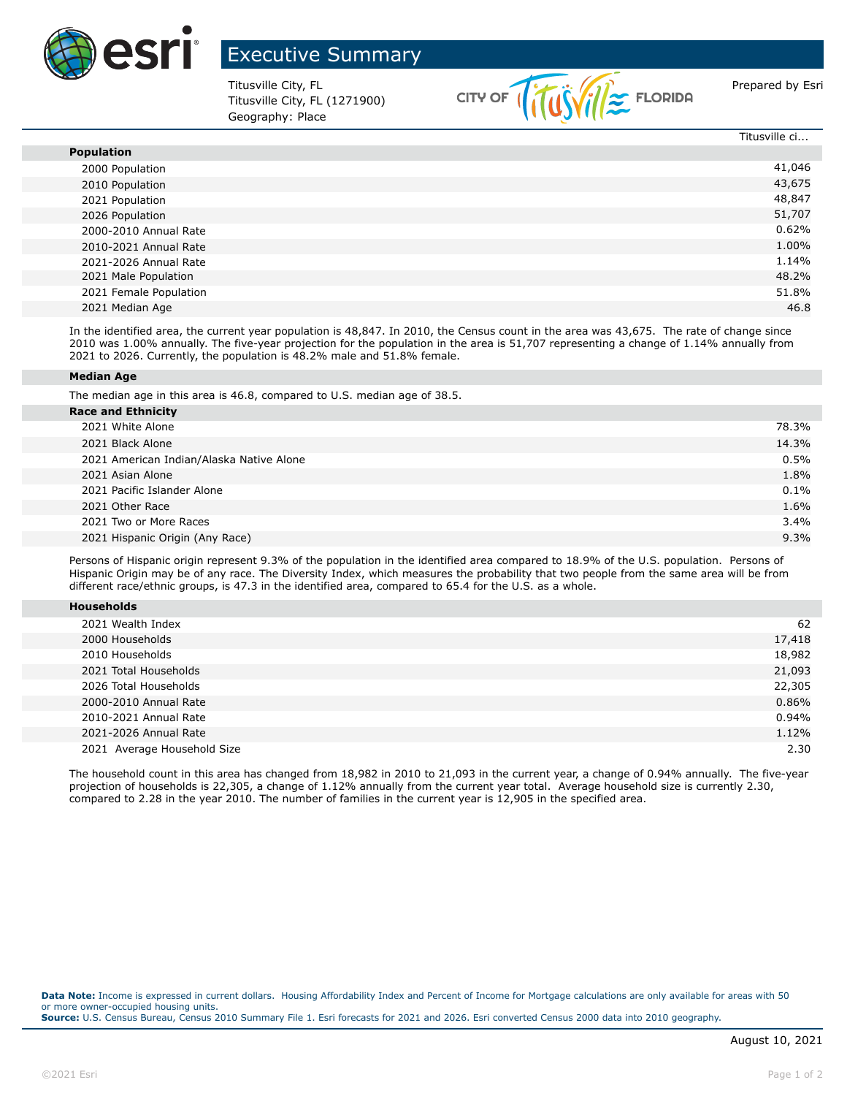

## Executive Summary

Titusville City, FL (1271900) Geography: Place



|                        | Titusville ci |
|------------------------|---------------|
| <b>Population</b>      |               |
| 2000 Population        | 41,046        |
| 2010 Population        | 43,675        |
| 2021 Population        | 48,847        |
| 2026 Population        | 51,707        |
| 2000-2010 Annual Rate  | 0.62%         |
| 2010-2021 Annual Rate  | 1.00%         |
| 2021-2026 Annual Rate  | 1.14%         |
| 2021 Male Population   | 48.2%         |
| 2021 Female Population | 51.8%         |
| 2021 Median Age        | 46.8          |
|                        |               |

In the identified area, the current year population is 48,847. In 2010, the Census count in the area was 43,675. The rate of change since 2010 was 1.00% annually. The five-year projection for the population in the area is 51,707 representing a change of 1.14% annually from 2021 to 2026. Currently, the population is 48.2% male and 51.8% female.

## **Median Age**

The median age in this area is 46.8, compared to U.S. median age of 38.5.

| <b>Race and Ethnicity</b>                |         |
|------------------------------------------|---------|
| 2021 White Alone                         | 78.3%   |
| 2021 Black Alone                         | 14.3%   |
| 2021 American Indian/Alaska Native Alone | 0.5%    |
| 2021 Asian Alone                         | 1.8%    |
| 2021 Pacific Islander Alone              | $0.1\%$ |
| 2021 Other Race                          | 1.6%    |
| 2021 Two or More Races                   | 3.4%    |
| 2021 Hispanic Origin (Any Race)          | 9.3%    |
|                                          |         |

Persons of Hispanic origin represent 9.3% of the population in the identified area compared to 18.9% of the U.S. population. Persons of Hispanic Origin may be of any race. The Diversity Index, which measures the probability that two people from the same area will be from different race/ethnic groups, is 47.3 in the identified area, compared to 65.4 for the U.S. as a whole.

| 2021 Wealth Index           | 62     |
|-----------------------------|--------|
| 2000 Households             | 17,418 |
| 2010 Households             | 18,982 |
| 2021 Total Households       | 21,093 |
| 2026 Total Households       | 22,305 |
| 2000-2010 Annual Rate       | 0.86%  |
| 2010-2021 Annual Rate       | 0.94%  |
| 2021-2026 Annual Rate       | 1.12%  |
| 2021 Average Household Size | 2.30   |

The household count in this area has changed from 18,982 in 2010 to 21,093 in the current year, a change of 0.94% annually. The five-year projection of households is 22,305, a change of 1.12% annually from the current year total. Average household size is currently 2.30, compared to 2.28 in the year 2010. The number of families in the current year is 12,905 in the specified area.

Data Note: Income is expressed in current dollars. Housing Affordability Index and Percent of Income for Mortgage calculations are only available for areas with 50 or more owner-occupied housing units. **Source:** U.S. Census Bureau, Census 2010 Summary File 1. Esri forecasts for 2021 and 2026. Esri converted Census 2000 data into 2010 geography.